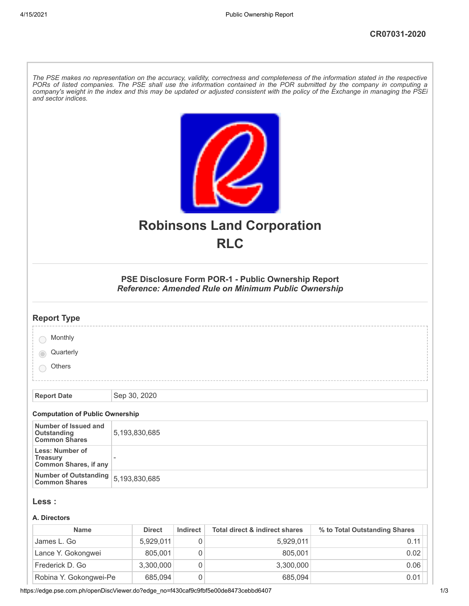| and sector indices.                                                |               |               |          |                                                                                                                   | The PSE makes no representation on the accuracy, validity, correctness and completeness of the information stated in the respective<br>PORs of listed companies. The PSE shall use the information contained in the POR submitted by the company in computing a<br>company's weight in the index and this may be updated or adjusted consistent with the policy of the Exchange in managing the PSEi |
|--------------------------------------------------------------------|---------------|---------------|----------|-------------------------------------------------------------------------------------------------------------------|------------------------------------------------------------------------------------------------------------------------------------------------------------------------------------------------------------------------------------------------------------------------------------------------------------------------------------------------------------------------------------------------------|
|                                                                    |               |               |          |                                                                                                                   |                                                                                                                                                                                                                                                                                                                                                                                                      |
|                                                                    |               |               |          | <b>Robinsons Land Corporation</b><br><b>RLC</b>                                                                   |                                                                                                                                                                                                                                                                                                                                                                                                      |
|                                                                    |               |               |          |                                                                                                                   |                                                                                                                                                                                                                                                                                                                                                                                                      |
|                                                                    |               |               |          | PSE Disclosure Form POR-1 - Public Ownership Report<br><b>Reference: Amended Rule on Minimum Public Ownership</b> |                                                                                                                                                                                                                                                                                                                                                                                                      |
| <b>Report Type</b>                                                 |               |               |          |                                                                                                                   |                                                                                                                                                                                                                                                                                                                                                                                                      |
| Monthly                                                            |               |               |          |                                                                                                                   |                                                                                                                                                                                                                                                                                                                                                                                                      |
| Quarterly                                                          |               |               |          |                                                                                                                   |                                                                                                                                                                                                                                                                                                                                                                                                      |
| Others                                                             |               |               |          |                                                                                                                   |                                                                                                                                                                                                                                                                                                                                                                                                      |
|                                                                    |               |               |          |                                                                                                                   |                                                                                                                                                                                                                                                                                                                                                                                                      |
| <b>Report Date</b>                                                 |               | Sep 30, 2020  |          |                                                                                                                   |                                                                                                                                                                                                                                                                                                                                                                                                      |
| <b>Computation of Public Ownership</b>                             |               |               |          |                                                                                                                   |                                                                                                                                                                                                                                                                                                                                                                                                      |
| Number of Issued and<br><b>Outstanding</b><br><b>Common Shares</b> |               | 5,193,830,685 |          |                                                                                                                   |                                                                                                                                                                                                                                                                                                                                                                                                      |
| Less: Number of<br><b>Treasury</b><br><b>Common Shares, if any</b> |               |               |          |                                                                                                                   |                                                                                                                                                                                                                                                                                                                                                                                                      |
| <b>Number of Outstanding</b><br><b>Common Shares</b>               | 5,193,830,685 |               |          |                                                                                                                   |                                                                                                                                                                                                                                                                                                                                                                                                      |
| Less :                                                             |               |               |          |                                                                                                                   |                                                                                                                                                                                                                                                                                                                                                                                                      |
| A. Directors                                                       |               |               |          |                                                                                                                   |                                                                                                                                                                                                                                                                                                                                                                                                      |
| <b>Name</b>                                                        |               | <b>Direct</b> | Indirect | <b>Total direct &amp; indirect shares</b>                                                                         | % to Total Outstanding Shares                                                                                                                                                                                                                                                                                                                                                                        |
| $Iameel$ Go                                                        |               | 5 929 011     | $\cap$   | 5 9 2 9 0 1 1                                                                                                     | 0.11                                                                                                                                                                                                                                                                                                                                                                                                 |

| James L. Go            | 5.929.011 | 5.929.011 | 0.11 |
|------------------------|-----------|-----------|------|
| Lance Y. Gokongwei     | 805.001   | 805.001   | 0.02 |
| Frederick D. Go        | 3,300,000 | 3,300,000 | 0.06 |
| Robina Y. Gokongwei-Pe | 685.094   | 685.094   | 0.01 |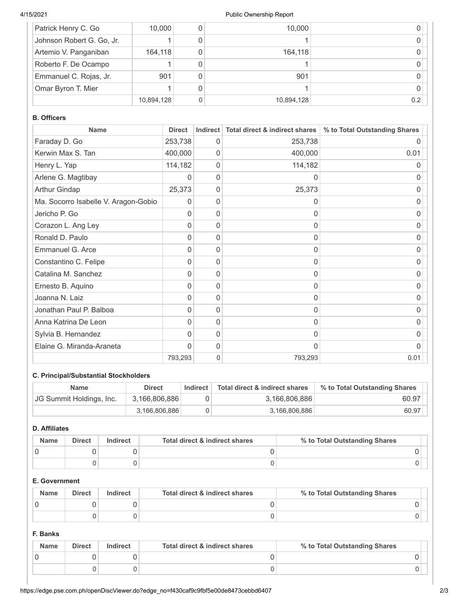### 4/15/2021 Public Ownership Report

| Patrick Henry C. Go       | 10,000     | 10,000     |     |
|---------------------------|------------|------------|-----|
| Johnson Robert G. Go, Jr. |            |            |     |
| Artemio V. Panganiban     | 164.118    | 164,118    |     |
| Roberto F. De Ocampo      |            |            |     |
| Emmanuel C. Rojas, Jr.    | 901        | 901        |     |
| Omar Byron T. Mier        |            |            |     |
|                           | 10,894,128 | 10,894,128 | 0.2 |

### **B. Officers**

| <b>Name</b>                          | <b>Direct</b> | <b>Indirect</b> | Total direct & indirect shares | % to Total Outstanding Shares |
|--------------------------------------|---------------|-----------------|--------------------------------|-------------------------------|
| Faraday D. Go                        | 253,738       | 0               | 253,738                        |                               |
| Kerwin Max S. Tan                    | 400,000       | 0               | 400,000                        | 0.01                          |
| Henry L. Yap                         | 114,182       | 0               | 114,182                        | 0                             |
| Arlene G. Magtibay                   | 0             | 0               | 0                              | $\Omega$                      |
| Arthur Gindap                        | 25,373        | 0               | 25,373                         | 0                             |
| Ma. Socorro Isabelle V. Aragon-Gobio | 0             | 0               | 0                              | 0                             |
| Jericho P. Go                        | 0             | 0               | 0                              | 0                             |
| Corazon L. Ang Ley                   | 0             | 0               | 0                              | 0                             |
| Ronald D. Paulo                      | $\Omega$      | 0               | O                              | O                             |
| Emmanuel G. Arce                     | 0             | 0               | 0                              | O                             |
| Constantino C. Felipe                | 0             | 0               | 0                              | 0                             |
| Catalina M. Sanchez                  | 0             | 0               | $\Omega$                       | 0                             |
| Ernesto B. Aquino                    | 0             | 0               | 0                              | 0                             |
| Joanna N. Laiz                       | 0             | 0               | 0                              | 0                             |
| Jonathan Paul P. Balboa              | 0             | 0               | 0                              | 0                             |
| Anna Katrina De Leon                 | 0             | 0               | 0                              | 0                             |
| Sylvia B. Hernandez                  | $\Omega$      | 0               | O                              | O                             |
| Elaine G. Miranda-Araneta            | 0             | 0               | 0                              | O                             |
|                                      | 793,293       | 0               | 793,293                        | 0.01                          |

## **C. Principal/Substantial Stockholders**

| <b>Name</b>              | <b>Direct</b> | <b>Indirect</b> | Total direct & indirect shares | % to Total Outstanding Shares |
|--------------------------|---------------|-----------------|--------------------------------|-------------------------------|
| JG Summit Holdings, Inc. | 3.166.806.886 |                 | 3.166.806.886                  | 60.97                         |
|                          | 3.166.806.886 |                 | 3,166,806,886                  | 60.97                         |

### **D. Affiliates**

| <b>Name</b> | <b>Direct</b> | Indirect | Total direct & indirect shares | % to Total Outstanding Shares |
|-------------|---------------|----------|--------------------------------|-------------------------------|
|             |               |          |                                |                               |
|             |               |          |                                |                               |

## **E. Government**

| <b>Name</b> | <b>Direct</b> | Indirect | Total direct & indirect shares | % to Total Outstanding Shares |
|-------------|---------------|----------|--------------------------------|-------------------------------|
|             |               |          |                                |                               |
|             |               |          |                                |                               |

### **F. Banks**

| <b>Name</b> | <b>Direct</b> | Indirect | Total direct & indirect shares | % to Total Outstanding Shares |
|-------------|---------------|----------|--------------------------------|-------------------------------|
|             |               |          |                                |                               |
|             |               |          |                                |                               |